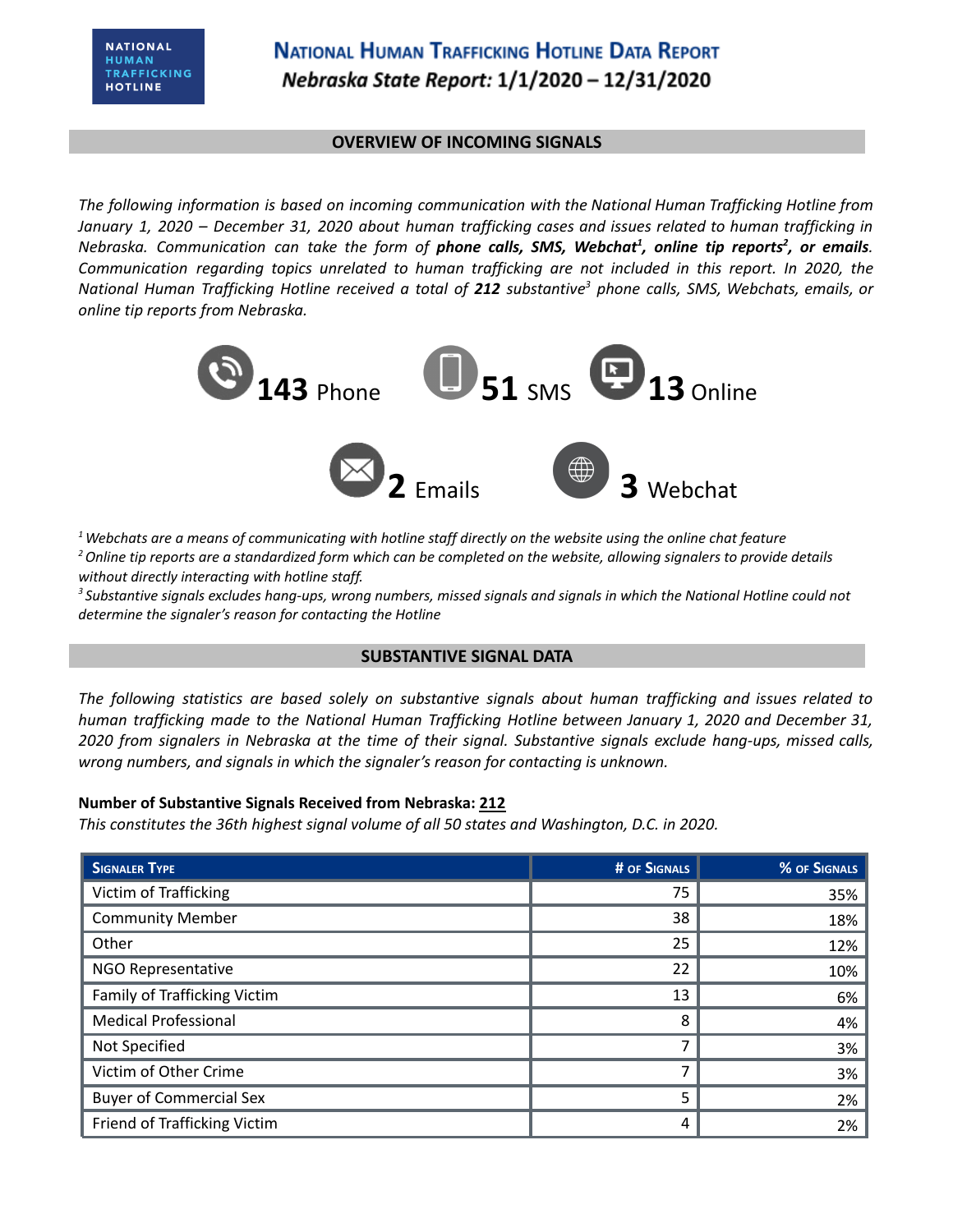# **NATIONAL HUMAN TRAFFICKING HOTLINE DATA REPORT** Nebraska State Report: 1/1/2020 - 12/31/2020

#### **OVERVIEW OF INCOMING SIGNALS**

*The following information is based on incoming communication with the National Human Trafficking Hotline from* January 1, 2020 - December 31, 2020 about human trafficking cases and issues related to human trafficking in Nebraska. Communication can take the form of **phone calls, SMS, Webchat<sup>1</sup>, online tip reports<sup>2</sup>, or emails.** *Communication regarding topics unrelated to human trafficking are not included in this report. In 2020, the* National Human Trafficking Hotline received a total of 212 substantive<sup>3</sup> phone calls, SMS, Webchats, emails, or *online tip reports from Nebraska.*



 $1$  Webchats are a means of communicating with hotline staff directly on the website using the online chat feature <sup>2</sup> Online tip reports are a standardized form which can be completed on the website, allowing signalers to provide details *without directly interacting with hotline staff.*

<sup>3</sup> Substantive signals excludes hang-ups, wrong numbers, missed signals and signals in which the National Hotline could not *determine the signaler's reason for contacting the Hotline*

### **SUBSTANTIVE SIGNAL DATA**

*The following statistics are based solely on substantive signals about human trafficking and issues related to human trafficking made to the National Human Trafficking Hotline between January 1, 2020 and December 31,* 2020 from signalers in Nebraska at the time of their signal. Substantive signals exclude hang-ups, missed calls, *wrong numbers, and signals in which the signaler's reason for contacting is unknown.*

### **Number of Substantive Signals Received from Nebraska: 212**

*This constitutes the 36th highest signal volume of all 50 states and Washington, D.C. in 2020.*

| <b>SIGNALER TYPE</b>           | # OF SIGNALS | % OF SIGNALS |
|--------------------------------|--------------|--------------|
| Victim of Trafficking          | 75           | 35%          |
| <b>Community Member</b>        | 38           | 18%          |
| Other                          | 25           | 12%          |
| NGO Representative             | 22           | 10%          |
| Family of Trafficking Victim   | 13           | 6%           |
| <b>Medical Professional</b>    | 8            | 4%           |
| Not Specified                  | 7            | 3%           |
| Victim of Other Crime          |              | 3%           |
| <b>Buyer of Commercial Sex</b> | 5            | 2%           |
| Friend of Trafficking Victim   | 4            | 2%           |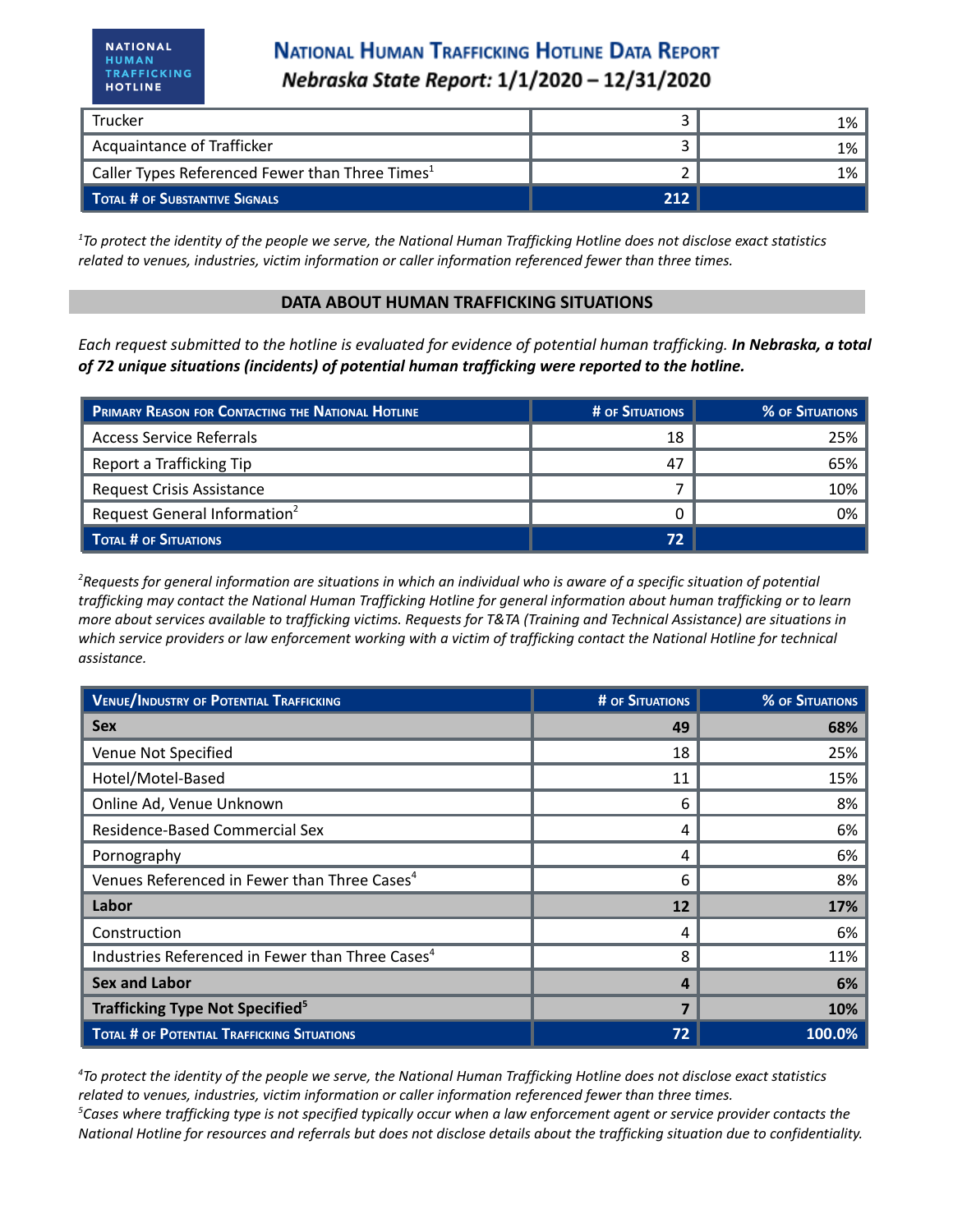# **NATIONAL HUMAN TRAFFICKING HOTLINE DATA REPORT** Nebraska State Report: 1/1/2020 - 12/31/2020

| Trucker                                                     |     | 1%  |
|-------------------------------------------------------------|-----|-----|
| Acquaintance of Trafficker                                  |     | 1%  |
| Caller Types Referenced Fewer than Three Times <sup>1</sup> |     | 1%⊣ |
| TOTAL # OF SUBSTANTIVE SIGNALS                              | 212 |     |

 $1$ To protect the identity of the people we serve, the National Human Trafficking Hotline does not disclose exact statistics *related to venues, industries, victim information or caller information referenced fewer than three times.*

#### **DATA ABOUT HUMAN TRAFFICKING SITUATIONS**

Each request submitted to the hotline is evaluated for evidence of potential human trafficking. In Nebraska, a total *of 72 unique situations (incidents) of potential human trafficking were reported to the hotline.*

| PRIMARY REASON FOR CONTACTING THE NATIONAL HOTLINE | # OF SITUATIONS | <b>% OF SITUATIONS</b> |
|----------------------------------------------------|-----------------|------------------------|
| <b>Access Service Referrals</b>                    | 18              | 25%                    |
| Report a Trafficking Tip                           | 47              | 65%                    |
| <b>Request Crisis Assistance</b>                   |                 | 10%                    |
| Request General Information <sup>2</sup>           |                 | 0%                     |
| TOTAL # OF SITUATIONS                              | 72              |                        |

<sup>2</sup>Requests for general information are situations in which an individual who is aware of a specific situation of potential trafficking may contact the National Human Trafficking Hotline for general information about human trafficking or to learn more about services available to trafficking victims. Requests for T&TA (Training and Technical Assistance) are situations in which service providers or law enforcement working with a victim of trafficking contact the National Hotline for technical *assistance.*

| <b>VENUE/INDUSTRY OF POTENTIAL TRAFFICKING</b>               | <b># OF SITUATIONS</b> | % OF SITUATIONS |
|--------------------------------------------------------------|------------------------|-----------------|
| <b>Sex</b>                                                   | 49                     | 68%             |
| Venue Not Specified                                          | 18                     | 25%             |
| Hotel/Motel-Based                                            | 11                     | 15%             |
| Online Ad, Venue Unknown                                     | 6                      | 8%              |
| Residence-Based Commercial Sex                               | 4                      | 6%              |
| Pornography                                                  | 4                      | 6%              |
| Venues Referenced in Fewer than Three Cases <sup>4</sup>     | 6                      | 8%              |
| Labor                                                        | 12                     | 17%             |
| Construction                                                 | 4                      | 6%              |
| Industries Referenced in Fewer than Three Cases <sup>4</sup> | 8                      | 11%             |
| <b>Sex and Labor</b>                                         | 4                      | 6%              |
| <b>Trafficking Type Not Specified</b> <sup>5</sup>           |                        | 10%             |
| TOTAL # OF POTENTIAL TRAFFICKING SITUATIONS                  | 72                     | 100.0%          |

<sup>4</sup>To protect the identity of the people we serve, the National Human Trafficking Hotline does not disclose exact statistics *related to venues, industries, victim information or caller information referenced fewer than three times.*  ${}^5$ Cases where trafficking type is not specified typically occur when a law enforcement agent or service provider contacts the National Hotline for resources and referrals but does not disclose details about the trafficking situation due to confidentiality.